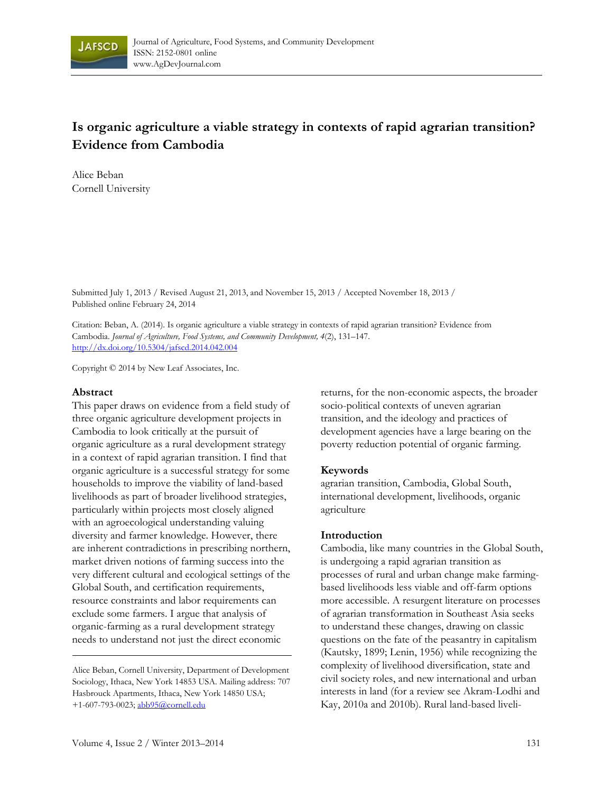

# **Is organic agriculture a viable strategy in contexts of rapid agrarian transition? Evidence from Cambodia**

Alice Beban Cornell University

Submitted July 1, 2013 / Revised August 21, 2013, and November 15, 2013 / Accepted November 18, 2013 / Published online February 24, 2014

Citation: Beban, A. (2014). Is organic agriculture a viable strategy in contexts of rapid agrarian transition? Evidence from Cambodia. *Journal of Agriculture, Food Systems, and Community Development, 4*(2), 131–147. http://dx.doi.org/10.5304/jafscd.2014.042.004

Copyright © 2014 by New Leaf Associates, Inc.

#### **Abstract**

This paper draws on evidence from a field study of three organic agriculture development projects in Cambodia to look critically at the pursuit of organic agriculture as a rural development strategy in a context of rapid agrarian transition. I find that organic agriculture is a successful strategy for some households to improve the viability of land-based livelihoods as part of broader livelihood strategies, particularly within projects most closely aligned with an agroecological understanding valuing diversity and farmer knowledge. However, there are inherent contradictions in prescribing northern, market driven notions of farming success into the very different cultural and ecological settings of the Global South, and certification requirements, resource constraints and labor requirements can exclude some farmers. I argue that analysis of organic-farming as a rural development strategy needs to understand not just the direct economic

returns, for the non-economic aspects, the broader socio-political contexts of uneven agrarian transition, and the ideology and practices of development agencies have a large bearing on the poverty reduction potential of organic farming.

#### **Keywords**

agrarian transition, Cambodia, Global South, international development, livelihoods, organic agriculture

#### **Introduction**

Cambodia, like many countries in the Global South, is undergoing a rapid agrarian transition as processes of rural and urban change make farmingbased livelihoods less viable and off-farm options more accessible. A resurgent literature on processes of agrarian transformation in Southeast Asia seeks to understand these changes, drawing on classic questions on the fate of the peasantry in capitalism (Kautsky, 1899; Lenin, 1956) while recognizing the complexity of livelihood diversification, state and civil society roles, and new international and urban interests in land (for a review see Akram-Lodhi and Kay, 2010a and 2010b). Rural land-based liveli-

Alice Beban, Cornell University, Department of Development Sociology, Ithaca, New York 14853 USA. Mailing address: 707 Hasbrouck Apartments, Ithaca, New York 14850 USA; +1-607-793-0023; abb95@cornell.edu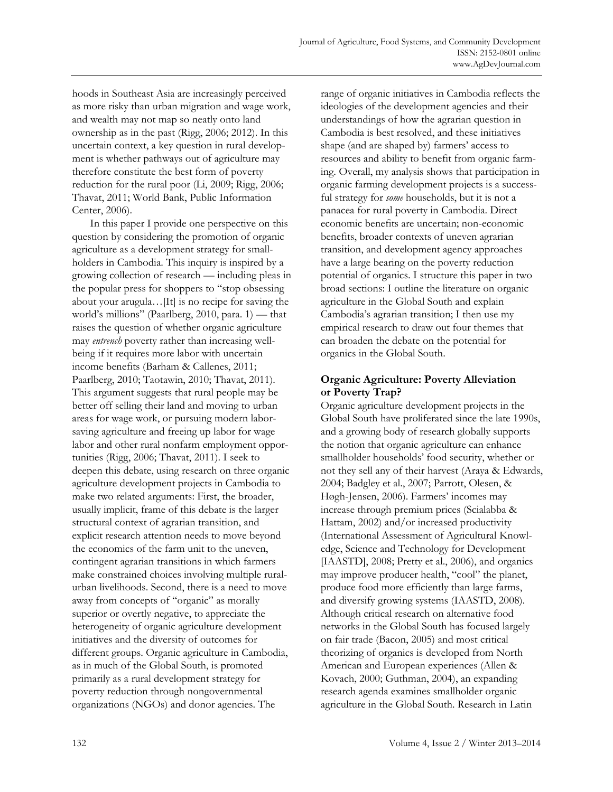hoods in Southeast Asia are increasingly perceived as more risky than urban migration and wage work, and wealth may not map so neatly onto land ownership as in the past (Rigg, 2006; 2012). In this uncertain context, a key question in rural development is whether pathways out of agriculture may therefore constitute the best form of poverty reduction for the rural poor (Li, 2009; Rigg, 2006; Thavat, 2011; World Bank, Public Information Center, 2006).

 In this paper I provide one perspective on this question by considering the promotion of organic agriculture as a development strategy for smallholders in Cambodia. This inquiry is inspired by a growing collection of research — including pleas in the popular press for shoppers to "stop obsessing about your arugula…[It] is no recipe for saving the world's millions" (Paarlberg, 2010, para. 1) — that raises the question of whether organic agriculture may *entrench* poverty rather than increasing wellbeing if it requires more labor with uncertain income benefits (Barham & Callenes, 2011; Paarlberg, 2010; Taotawin, 2010; Thavat, 2011). This argument suggests that rural people may be better off selling their land and moving to urban areas for wage work, or pursuing modern laborsaving agriculture and freeing up labor for wage labor and other rural nonfarm employment opportunities (Rigg, 2006; Thavat, 2011). I seek to deepen this debate, using research on three organic agriculture development projects in Cambodia to make two related arguments: First, the broader, usually implicit, frame of this debate is the larger structural context of agrarian transition, and explicit research attention needs to move beyond the economics of the farm unit to the uneven, contingent agrarian transitions in which farmers make constrained choices involving multiple ruralurban livelihoods. Second, there is a need to move away from concepts of "organic" as morally superior or overtly negative, to appreciate the heterogeneity of organic agriculture development initiatives and the diversity of outcomes for different groups. Organic agriculture in Cambodia, as in much of the Global South, is promoted primarily as a rural development strategy for poverty reduction through nongovernmental organizations (NGOs) and donor agencies. The

range of organic initiatives in Cambodia reflects the ideologies of the development agencies and their understandings of how the agrarian question in Cambodia is best resolved, and these initiatives shape (and are shaped by) farmers' access to resources and ability to benefit from organic farming. Overall, my analysis shows that participation in organic farming development projects is a successful strategy for *some* households, but it is not a panacea for rural poverty in Cambodia. Direct economic benefits are uncertain; non-economic benefits, broader contexts of uneven agrarian transition, and development agency approaches have a large bearing on the poverty reduction potential of organics. I structure this paper in two broad sections: I outline the literature on organic agriculture in the Global South and explain Cambodia's agrarian transition; I then use my empirical research to draw out four themes that can broaden the debate on the potential for organics in the Global South.

# **Organic Agriculture: Poverty Alleviation or Poverty Trap?**

Organic agriculture development projects in the Global South have proliferated since the late 1990s, and a growing body of research globally supports the notion that organic agriculture can enhance smallholder households' food security, whether or not they sell any of their harvest (Araya & Edwards, 2004; Badgley et al., 2007; Parrott, Olesen, & Høgh-Jensen, 2006). Farmers' incomes may increase through premium prices (Scialabba & Hattam, 2002) and/or increased productivity (International Assessment of Agricultural Knowledge, Science and Technology for Development [IAASTD], 2008; Pretty et al., 2006), and organics may improve producer health, "cool" the planet, produce food more efficiently than large farms, and diversify growing systems (IAASTD, 2008). Although critical research on alternative food networks in the Global South has focused largely on fair trade (Bacon, 2005) and most critical theorizing of organics is developed from North American and European experiences (Allen & Kovach, 2000; Guthman, 2004), an expanding research agenda examines smallholder organic agriculture in the Global South. Research in Latin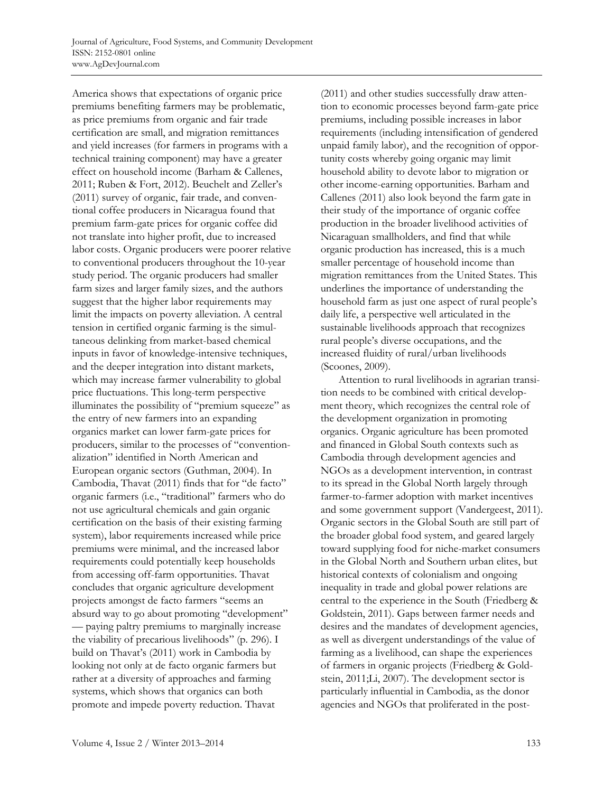America shows that expectations of organic price premiums benefiting farmers may be problematic, as price premiums from organic and fair trade certification are small, and migration remittances and yield increases (for farmers in programs with a technical training component) may have a greater effect on household income (Barham & Callenes, 2011; Ruben & Fort, 2012). Beuchelt and Zeller's (2011) survey of organic, fair trade, and conventional coffee producers in Nicaragua found that premium farm-gate prices for organic coffee did not translate into higher profit, due to increased labor costs. Organic producers were poorer relative to conventional producers throughout the 10-year study period. The organic producers had smaller farm sizes and larger family sizes, and the authors suggest that the higher labor requirements may limit the impacts on poverty alleviation. A central tension in certified organic farming is the simultaneous delinking from market-based chemical inputs in favor of knowledge-intensive techniques, and the deeper integration into distant markets, which may increase farmer vulnerability to global price fluctuations. This long-term perspective illuminates the possibility of "premium squeeze" as the entry of new farmers into an expanding organics market can lower farm-gate prices for producers, similar to the processes of "conventionalization" identified in North American and European organic sectors (Guthman, 2004). In Cambodia, Thavat (2011) finds that for "de facto" organic farmers (i.e., "traditional" farmers who do not use agricultural chemicals and gain organic certification on the basis of their existing farming system), labor requirements increased while price premiums were minimal, and the increased labor requirements could potentially keep households from accessing off-farm opportunities. Thavat concludes that organic agriculture development projects amongst de facto farmers "seems an absurd way to go about promoting "development" — paying paltry premiums to marginally increase the viability of precarious livelihoods" (p. 296). I build on Thavat's (2011) work in Cambodia by looking not only at de facto organic farmers but rather at a diversity of approaches and farming systems, which shows that organics can both promote and impede poverty reduction. Thavat

(2011) and other studies successfully draw attention to economic processes beyond farm-gate price premiums, including possible increases in labor requirements (including intensification of gendered unpaid family labor), and the recognition of opportunity costs whereby going organic may limit household ability to devote labor to migration or other income-earning opportunities. Barham and Callenes (2011) also look beyond the farm gate in their study of the importance of organic coffee production in the broader livelihood activities of Nicaraguan smallholders, and find that while organic production has increased, this is a much smaller percentage of household income than migration remittances from the United States. This underlines the importance of understanding the household farm as just one aspect of rural people's daily life, a perspective well articulated in the sustainable livelihoods approach that recognizes rural people's diverse occupations, and the increased fluidity of rural/urban livelihoods (Scoones, 2009).

 Attention to rural livelihoods in agrarian transition needs to be combined with critical development theory, which recognizes the central role of the development organization in promoting organics. Organic agriculture has been promoted and financed in Global South contexts such as Cambodia through development agencies and NGOs as a development intervention, in contrast to its spread in the Global North largely through farmer-to-farmer adoption with market incentives and some government support (Vandergeest, 2011). Organic sectors in the Global South are still part of the broader global food system, and geared largely toward supplying food for niche-market consumers in the Global North and Southern urban elites, but historical contexts of colonialism and ongoing inequality in trade and global power relations are central to the experience in the South (Friedberg & Goldstein, 2011). Gaps between farmer needs and desires and the mandates of development agencies, as well as divergent understandings of the value of farming as a livelihood, can shape the experiences of farmers in organic projects (Friedberg & Goldstein, 2011;Li, 2007). The development sector is particularly influential in Cambodia, as the donor agencies and NGOs that proliferated in the post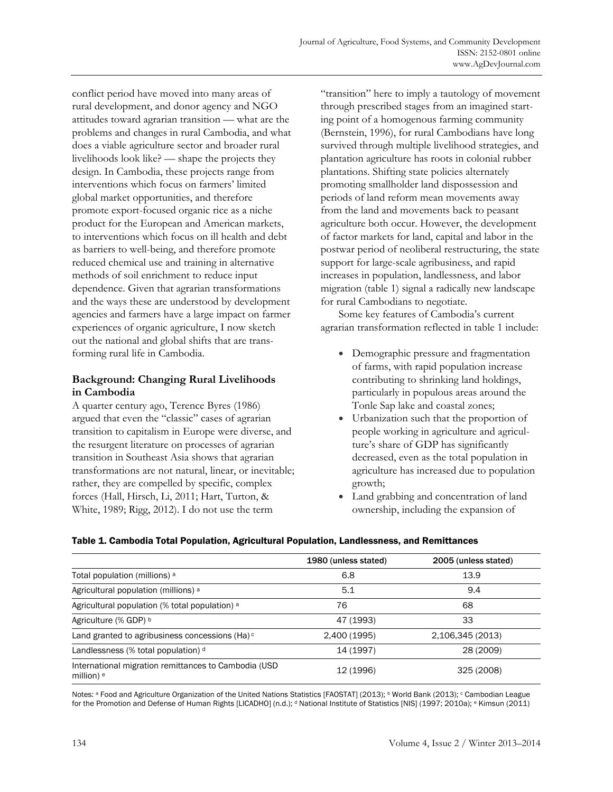conflict period have moved into many areas of rural development, and donor agency and NGO attitudes toward agrarian transition — what are the problems and changes in rural Cambodia, and what does a viable agriculture sector and broader rural livelihoods look like? — shape the projects they design. In Cambodia, these projects range from interventions which focus on farmers' limited global market opportunities, and therefore promote export-focused organic rice as a niche product for the European and American markets, to interventions which focus on ill health and debt as barriers to well-being, and therefore promote reduced chemical use and training in alternative methods of soil enrichment to reduce input dependence. Given that agrarian transformations and the ways these are understood by development agencies and farmers have a large impact on farmer experiences of organic agriculture, I now sketch out the national and global shifts that are transforming rural life in Cambodia.

# **Background: Changing Rural Livelihoods in Cambodia**

A quarter century ago, Terence Byres (1986) argued that even the "classic" cases of agrarian transition to capitalism in Europe were diverse, and the resurgent literature on processes of agrarian transition in Southeast Asia shows that agrarian transformations are not natural, linear, or inevitable; rather, they are compelled by specific, complex forces (Hall, Hirsch, Li, 2011; Hart, Turton, & White, 1989; Rigg, 2012). I do not use the term

"transition" here to imply a tautology of movement through prescribed stages from an imagined starting point of a homogenous farming community (Bernstein, 1996), for rural Cambodians have long survived through multiple livelihood strategies, and plantation agriculture has roots in colonial rubber plantations. Shifting state policies alternately promoting smallholder land dispossession and periods of land reform mean movements away from the land and movements back to peasant agriculture both occur. However, the development of factor markets for land, capital and labor in the postwar period of neoliberal restructuring, the state support for large-scale agribusiness, and rapid increases in population, landlessness, and labor migration (table 1) signal a radically new landscape for rural Cambodians to negotiate.

Some key features of Cambodia's current agrarian transformation reflected in table 1 include:

- Demographic pressure and fragmentation of farms, with rapid population increase contributing to shrinking land holdings, particularly in populous areas around the Tonle Sap lake and coastal zones;
- Urbanization such that the proportion of people working in agriculture and agriculture's share of GDP has significantly decreased, even as the total population in agriculture has increased due to population growth;
- Land grabbing and concentration of land ownership, including the expansion of

### Table 1. Cambodia Total Population, Agricultural Population, Landlessness, and Remittances

|                                                                               | 1980 (unless stated) | 2005 (unless stated) |
|-------------------------------------------------------------------------------|----------------------|----------------------|
| Total population (millions) a                                                 | 6.8                  | 13.9                 |
| Agricultural population (millions) a                                          | 5.1                  | 9.4                  |
| Agricultural population (% total population) <sup>a</sup>                     | 76                   | 68                   |
| Agriculture (% GDP) b                                                         | 47 (1993)            | 33                   |
| Land granted to agribusiness concessions (Ha) $\circ$                         | 2,400 (1995)         | 2,106,345 (2013)     |
| Landlessness (% total population) d                                           | 14 (1997)            | 28 (2009)            |
| International migration remittances to Cambodia (USD<br>million) <sup>e</sup> | 12 (1996)            | 325 (2008)           |

Notes: <sup>a</sup> Food and Agriculture Organization of the United Nations Statistics [FAOSTAT] (2013); <sup>b</sup> World Bank (2013); <sup>c</sup> Cambodian League for the Promotion and Defense of Human Rights [LICADHO] (n.d.); <sup>d</sup> National Institute of Statistics [NIS] (1997; 2010a); e Kimsun (2011)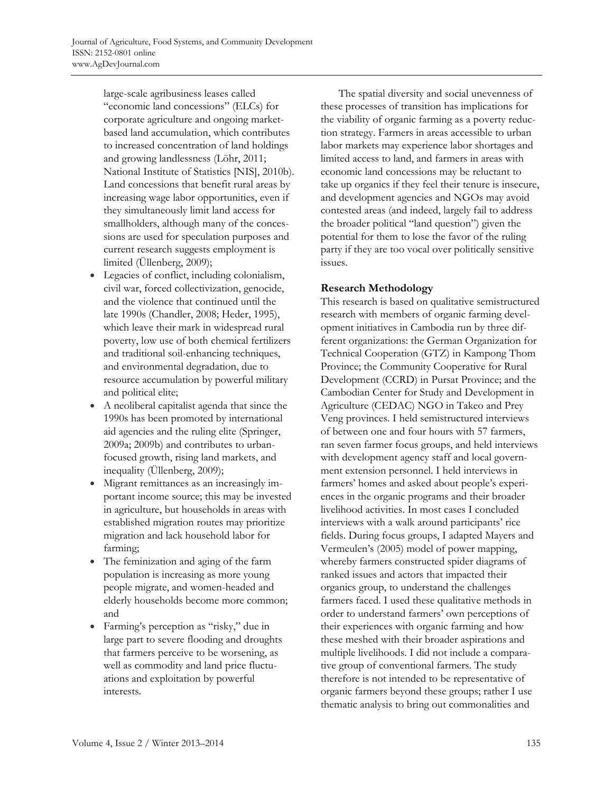large-scale agribusiness leases called "economic land concessions" (ELCs) for corporate agriculture and ongoing marketbased land accumulation, which contributes to increased concentration of land holdings and growing landlessness (Löhr, 2011; National Institute of Statistics [NIS], 2010b). Land concessions that benefit rural areas by increasing wage labor opportunities, even if they simultaneously limit land access for smallholders, although many of the concessions are used for speculation purposes and current research suggests employment is limited (Üllenberg, 2009);

- Legacies of conflict, including colonialism, civil war, forced collectivization, genocide, and the violence that continued until the late 1990s (Chandler, 2008; Heder, 1995), which leave their mark in widespread rural poverty, low use of both chemical fertilizers and traditional soil-enhancing techniques, and environmental degradation, due to resource accumulation by powerful military and political elite;
- A neoliberal capitalist agenda that since the 1990s has been promoted by international aid agencies and the ruling elite (Springer, 2009a; 2009b) and contributes to urbanfocused growth, rising land markets, and inequality (Üllenberg, 2009);
- Migrant remittances as an increasingly important income source; this may be invested in agriculture, but households in areas with established migration routes may prioritize migration and lack household labor for farming;
- The feminization and aging of the farm population is increasing as more young people migrate, and women-headed and elderly households become more common; and
- Farming's perception as "risky," due in large part to severe flooding and droughts that farmers perceive to be worsening, as well as commodity and land price fluctuations and exploitation by powerful interests.

 The spatial diversity and social unevenness of these processes of transition has implications for the viability of organic farming as a poverty reduction strategy. Farmers in areas accessible to urban labor markets may experience labor shortages and limited access to land, and farmers in areas with economic land concessions may be reluctant to take up organics if they feel their tenure is insecure, and development agencies and NGOs may avoid contested areas (and indeed, largely fail to address the broader political "land question") given the potential for them to lose the favor of the ruling party if they are too vocal over politically sensitive issues.

# **Research Methodology**

This research is based on qualitative semistructured research with members of organic farming development initiatives in Cambodia run by three different organizations: the German Organization for Technical Cooperation (GTZ) in Kampong Thom Province; the Community Cooperative for Rural Development (CCRD) in Pursat Province; and the Cambodian Center for Study and Development in Agriculture (CEDAC) NGO in Takeo and Prey Veng provinces. I held semistructured interviews of between one and four hours with 57 farmers, ran seven farmer focus groups, and held interviews with development agency staff and local government extension personnel. I held interviews in farmers' homes and asked about people's experiences in the organic programs and their broader livelihood activities. In most cases I concluded interviews with a walk around participants' rice fields. During focus groups, I adapted Mayers and Vermeulen's (2005) model of power mapping, whereby farmers constructed spider diagrams of ranked issues and actors that impacted their organics group, to understand the challenges farmers faced. I used these qualitative methods in order to understand farmers' own perceptions of their experiences with organic farming and how these meshed with their broader aspirations and multiple livelihoods. I did not include a comparative group of conventional farmers. The study therefore is not intended to be representative of organic farmers beyond these groups; rather I use thematic analysis to bring out commonalities and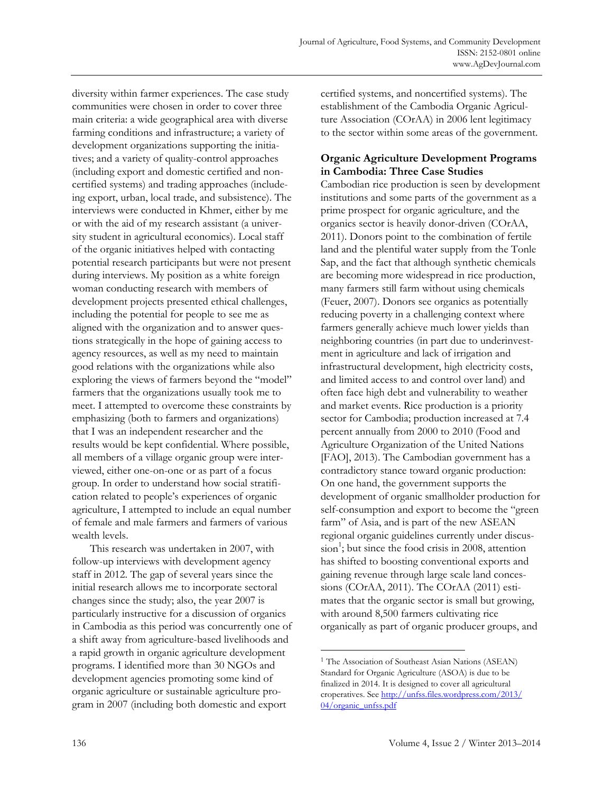diversity within farmer experiences. The case study communities were chosen in order to cover three main criteria: a wide geographical area with diverse farming conditions and infrastructure; a variety of development organizations supporting the initiatives; and a variety of quality-control approaches (including export and domestic certified and noncertified systems) and trading approaches (includeing export, urban, local trade, and subsistence). The interviews were conducted in Khmer, either by me or with the aid of my research assistant (a university student in agricultural economics). Local staff of the organic initiatives helped with contacting potential research participants but were not present during interviews. My position as a white foreign woman conducting research with members of development projects presented ethical challenges, including the potential for people to see me as aligned with the organization and to answer questions strategically in the hope of gaining access to agency resources, as well as my need to maintain good relations with the organizations while also exploring the views of farmers beyond the "model" farmers that the organizations usually took me to meet. I attempted to overcome these constraints by emphasizing (both to farmers and organizations) that I was an independent researcher and the results would be kept confidential. Where possible, all members of a village organic group were interviewed, either one-on-one or as part of a focus group. In order to understand how social stratification related to people's experiences of organic agriculture, I attempted to include an equal number of female and male farmers and farmers of various wealth levels.

 This research was undertaken in 2007, with follow-up interviews with development agency staff in 2012. The gap of several years since the initial research allows me to incorporate sectoral changes since the study; also, the year 2007 is particularly instructive for a discussion of organics in Cambodia as this period was concurrently one of a shift away from agriculture-based livelihoods and a rapid growth in organic agriculture development programs. I identified more than 30 NGOs and development agencies promoting some kind of organic agriculture or sustainable agriculture program in 2007 (including both domestic and export

certified systems, and noncertified systems). The establishment of the Cambodia Organic Agriculture Association (COrAA) in 2006 lent legitimacy to the sector within some areas of the government.

# **Organic Agriculture Development Programs in Cambodia: Three Case Studies**

Cambodian rice production is seen by development institutions and some parts of the government as a prime prospect for organic agriculture, and the organics sector is heavily donor-driven (COrAA, 2011). Donors point to the combination of fertile land and the plentiful water supply from the Tonle Sap, and the fact that although synthetic chemicals are becoming more widespread in rice production, many farmers still farm without using chemicals (Feuer, 2007). Donors see organics as potentially reducing poverty in a challenging context where farmers generally achieve much lower yields than neighboring countries (in part due to underinvestment in agriculture and lack of irrigation and infrastructural development, high electricity costs, and limited access to and control over land) and often face high debt and vulnerability to weather and market events. Rice production is a priority sector for Cambodia; production increased at 7.4 percent annually from 2000 to 2010 (Food and Agriculture Organization of the United Nations [FAO], 2013). The Cambodian government has a contradictory stance toward organic production: On one hand, the government supports the development of organic smallholder production for self-consumption and export to become the "green farm" of Asia, and is part of the new ASEAN regional organic guidelines currently under discus- $\sin^{-1}$ ; but since the food crisis in 2008, attention has shifted to boosting conventional exports and gaining revenue through large scale land concessions (COrAA, 2011). The COrAA (2011) estimates that the organic sector is small but growing, with around 8,500 farmers cultivating rice organically as part of organic producer groups, and

<sup>&</sup>lt;sup>1</sup> The Association of Southeast Asian Nations (ASEAN) Standard for Organic Agriculture (ASOA) is due to be finalized in 2014. It is designed to cover all agricultural [croperatives. See http://unfss.files.wordpress.com/2013/](http://unfss.files.wordpress.com/2013/04/organic_unfss.pdf)  04/organic\_unfss.pdf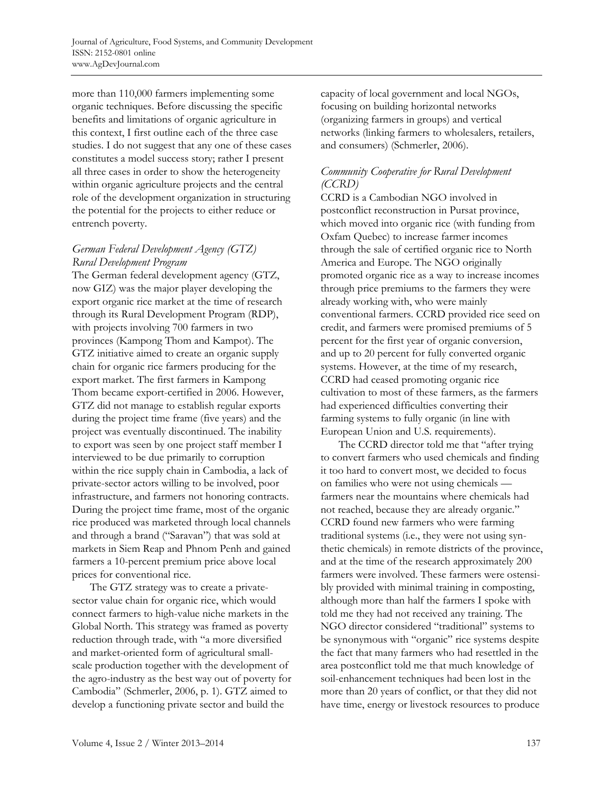more than 110,000 farmers implementing some organic techniques. Before discussing the specific benefits and limitations of organic agriculture in this context, I first outline each of the three case studies. I do not suggest that any one of these cases constitutes a model success story; rather I present all three cases in order to show the heterogeneity within organic agriculture projects and the central role of the development organization in structuring the potential for the projects to either reduce or entrench poverty.

# *German Federal Development Agency (GTZ) Rural Development Program*

The German federal development agency (GTZ, now GIZ) was the major player developing the export organic rice market at the time of research through its Rural Development Program (RDP), with projects involving 700 farmers in two provinces (Kampong Thom and Kampot). The GTZ initiative aimed to create an organic supply chain for organic rice farmers producing for the export market. The first farmers in Kampong Thom became export-certified in 2006. However, GTZ did not manage to establish regular exports during the project time frame (five years) and the project was eventually discontinued. The inability to export was seen by one project staff member I interviewed to be due primarily to corruption within the rice supply chain in Cambodia, a lack of private-sector actors willing to be involved, poor infrastructure, and farmers not honoring contracts. During the project time frame, most of the organic rice produced was marketed through local channels and through a brand ("Saravan") that was sold at markets in Siem Reap and Phnom Penh and gained farmers a 10-percent premium price above local prices for conventional rice.

 The GTZ strategy was to create a privatesector value chain for organic rice, which would connect farmers to high-value niche markets in the Global North. This strategy was framed as poverty reduction through trade, with "a more diversified and market-oriented form of agricultural smallscale production together with the development of the agro-industry as the best way out of poverty for Cambodia" (Schmerler, 2006, p. 1). GTZ aimed to develop a functioning private sector and build the

capacity of local government and local NGOs, focusing on building horizontal networks (organizing farmers in groups) and vertical networks (linking farmers to wholesalers, retailers, and consumers) (Schmerler, 2006).

# *Community Cooperative for Rural Development (CCRD)*

CCRD is a Cambodian NGO involved in postconflict reconstruction in Pursat province, which moved into organic rice (with funding from Oxfam Quebec) to increase farmer incomes through the sale of certified organic rice to North America and Europe. The NGO originally promoted organic rice as a way to increase incomes through price premiums to the farmers they were already working with, who were mainly conventional farmers. CCRD provided rice seed on credit, and farmers were promised premiums of 5 percent for the first year of organic conversion, and up to 20 percent for fully converted organic systems. However, at the time of my research, CCRD had ceased promoting organic rice cultivation to most of these farmers, as the farmers had experienced difficulties converting their farming systems to fully organic (in line with European Union and U.S. requirements).

 The CCRD director told me that "after trying to convert farmers who used chemicals and finding it too hard to convert most, we decided to focus on families who were not using chemicals farmers near the mountains where chemicals had not reached, because they are already organic." CCRD found new farmers who were farming traditional systems (i.e., they were not using synthetic chemicals) in remote districts of the province, and at the time of the research approximately 200 farmers were involved. These farmers were ostensibly provided with minimal training in composting, although more than half the farmers I spoke with told me they had not received any training. The NGO director considered "traditional" systems to be synonymous with "organic" rice systems despite the fact that many farmers who had resettled in the area postconflict told me that much knowledge of soil-enhancement techniques had been lost in the more than 20 years of conflict, or that they did not have time, energy or livestock resources to produce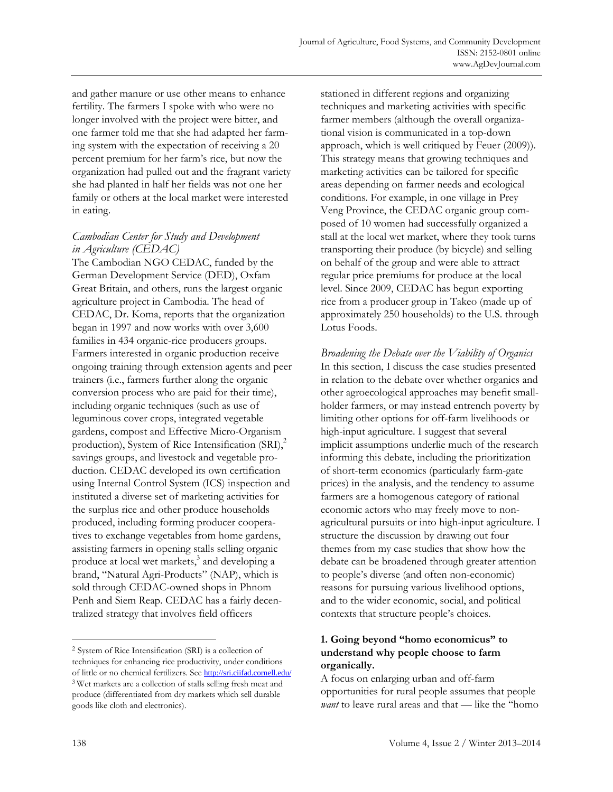and gather manure or use other means to enhance fertility. The farmers I spoke with who were no longer involved with the project were bitter, and one farmer told me that she had adapted her farming system with the expectation of receiving a 20 percent premium for her farm's rice, but now the organization had pulled out and the fragrant variety she had planted in half her fields was not one her family or others at the local market were interested in eating.

# *Cambodian Center for Study and Development in Agriculture (CEDAC)*

The Cambodian NGO CEDAC, funded by the German Development Service (DED), Oxfam Great Britain, and others, runs the largest organic agriculture project in Cambodia. The head of CEDAC, Dr. Koma, reports that the organization began in 1997 and now works with over 3,600 families in 434 organic-rice producers groups. Farmers interested in organic production receive ongoing training through extension agents and peer trainers (i.e., farmers further along the organic conversion process who are paid for their time), including organic techniques (such as use of leguminous cover crops, integrated vegetable gardens, compost and Effective Micro-Organism production), System of Rice Intensification  $(SRI)$ ,<sup>2</sup> savings groups, and livestock and vegetable production. CEDAC developed its own certification using Internal Control System (ICS) inspection and instituted a diverse set of marketing activities for the surplus rice and other produce households produced, including forming producer cooperatives to exchange vegetables from home gardens, assisting farmers in opening stalls selling organic produce at local wet markets,<sup>3</sup> and developing a brand, "Natural Agri-Products" (NAP), which is sold through CEDAC-owned shops in Phnom Penh and Siem Reap. CEDAC has a fairly decentralized strategy that involves field officers

stationed in different regions and organizing techniques and marketing activities with specific farmer members (although the overall organizational vision is communicated in a top-down approach, which is well critiqued by Feuer (2009)). This strategy means that growing techniques and marketing activities can be tailored for specific areas depending on farmer needs and ecological conditions. For example, in one village in Prey Veng Province, the CEDAC organic group composed of 10 women had successfully organized a stall at the local wet market, where they took turns transporting their produce (by bicycle) and selling on behalf of the group and were able to attract regular price premiums for produce at the local level. Since 2009, CEDAC has begun exporting rice from a producer group in Takeo (made up of approximately 250 households) to the U.S. through Lotus Foods.

*Broadening the Debate over the Viability of Organics*  In this section, I discuss the case studies presented in relation to the debate over whether organics and other agroecological approaches may benefit smallholder farmers, or may instead entrench poverty by limiting other options for off-farm livelihoods or high-input agriculture. I suggest that several implicit assumptions underlie much of the research informing this debate, including the prioritization of short-term economics (particularly farm-gate prices) in the analysis, and the tendency to assume farmers are a homogenous category of rational economic actors who may freely move to nonagricultural pursuits or into high-input agriculture. I structure the discussion by drawing out four themes from my case studies that show how the debate can be broadened through greater attention to people's diverse (and often non-economic) reasons for pursuing various livelihood options, and to the wider economic, social, and political contexts that structure people's choices.

### **1. Going beyond "homo economicus" to understand why people choose to farm organically.**

A focus on enlarging urban and off-farm opportunities for rural people assumes that people *want* to leave rural areas and that — like the "homo

**.** 

<sup>2</sup> System of Rice Intensification (SRI) is a collection of techniques for enhancing rice productivity, under conditions of little or no chemical fertilizers. See http://sri.ciifad.cornell.edu/ 3 Wet markets are a collection of stalls selling fresh meat and produce (differentiated from dry markets which sell durable goods like cloth and electronics).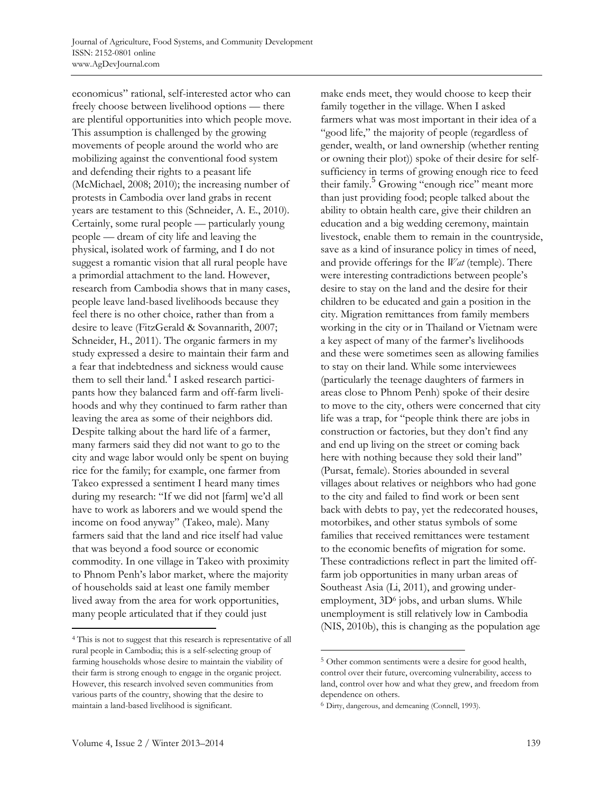economicus" rational, self-interested actor who can freely choose between livelihood options — there are plentiful opportunities into which people move. This assumption is challenged by the growing movements of people around the world who are mobilizing against the conventional food system and defending their rights to a peasant life (McMichael, 2008; 2010); the increasing number of protests in Cambodia over land grabs in recent years are testament to this (Schneider, A. E., 2010). Certainly, some rural people — particularly young people — dream of city life and leaving the physical, isolated work of farming, and I do not suggest a romantic vision that all rural people have a primordial attachment to the land. However, research from Cambodia shows that in many cases, people leave land-based livelihoods because they feel there is no other choice, rather than from a desire to leave (FitzGerald & Sovannarith, 2007; Schneider, H., 2011). The organic farmers in my study expressed a desire to maintain their farm and a fear that indebtedness and sickness would cause them to sell their land.<sup>4</sup> I asked research participants how they balanced farm and off-farm livelihoods and why they continued to farm rather than leaving the area as some of their neighbors did. Despite talking about the hard life of a farmer, many farmers said they did not want to go to the city and wage labor would only be spent on buying rice for the family; for example, one farmer from Takeo expressed a sentiment I heard many times during my research: "If we did not [farm] we'd all have to work as laborers and we would spend the income on food anyway" (Takeo, male). Many farmers said that the land and rice itself had value that was beyond a food source or economic commodity. In one village in Takeo with proximity to Phnom Penh's labor market, where the majority of households said at least one family member lived away from the area for work opportunities, many people articulated that if they could just

make ends meet, they would choose to keep their family together in the village. When I asked farmers what was most important in their idea of a "good life," the majority of people (regardless of gender, wealth, or land ownership (whether renting or owning their plot)) spoke of their desire for selfsufficiency in terms of growing enough rice to feed their family.<sup>5</sup> Growing "enough rice" meant more than just providing food; people talked about the ability to obtain health care, give their children an education and a big wedding ceremony, maintain livestock, enable them to remain in the countryside, save as a kind of insurance policy in times of need, and provide offerings for the *Wat* (temple). There were interesting contradictions between people's desire to stay on the land and the desire for their children to be educated and gain a position in the city. Migration remittances from family members working in the city or in Thailand or Vietnam were a key aspect of many of the farmer's livelihoods and these were sometimes seen as allowing families to stay on their land. While some interviewees (particularly the teenage daughters of farmers in areas close to Phnom Penh) spoke of their desire to move to the city, others were concerned that city life was a trap, for "people think there are jobs in construction or factories, but they don't find any and end up living on the street or coming back here with nothing because they sold their land" (Pursat, female). Stories abounded in several villages about relatives or neighbors who had gone to the city and failed to find work or been sent back with debts to pay, yet the redecorated houses, motorbikes, and other status symbols of some families that received remittances were testament to the economic benefits of migration for some. These contradictions reflect in part the limited offfarm job opportunities in many urban areas of Southeast Asia (Li, 2011), and growing underemployment, 3D<sup>6</sup> jobs, and urban slums. While unemployment is still relatively low in Cambodia (NIS, 2010b), this is changing as the population age

 $\overline{a}$ 

<sup>4</sup> This is not to suggest that this research is representative of all rural people in Cambodia; this is a self-selecting group of farming households whose desire to maintain the viability of their farm is strong enough to engage in the organic project. However, this research involved seven communities from various parts of the country, showing that the desire to maintain a land-based livelihood is significant.

<sup>5</sup> Other common sentiments were a desire for good health, control over their future, overcoming vulnerability, access to land, control over how and what they grew, and freedom from dependence on others.

<sup>6</sup> Dirty, dangerous, and demeaning (Connell, 1993).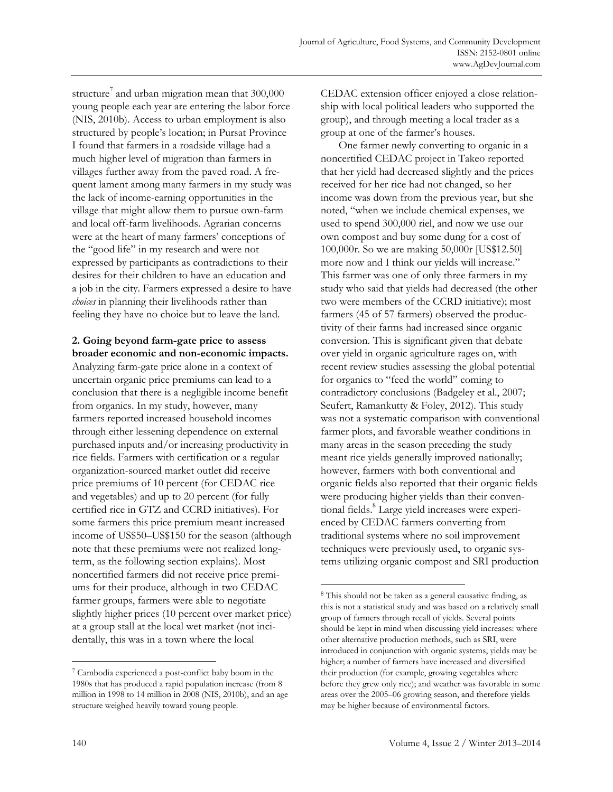structure<sup>7</sup> and urban migration mean that  $300,000$ young people each year are entering the labor force (NIS, 2010b). Access to urban employment is also structured by people's location; in Pursat Province I found that farmers in a roadside village had a much higher level of migration than farmers in villages further away from the paved road. A frequent lament among many farmers in my study was the lack of income-earning opportunities in the village that might allow them to pursue own-farm and local off-farm livelihoods. Agrarian concerns were at the heart of many farmers' conceptions of the "good life" in my research and were not expressed by participants as contradictions to their desires for their children to have an education and a job in the city. Farmers expressed a desire to have *choices* in planning their livelihoods rather than feeling they have no choice but to leave the land.

# **2. Going beyond farm-gate price to assess broader economic and non-economic impacts.**

Analyzing farm-gate price alone in a context of uncertain organic price premiums can lead to a conclusion that there is a negligible income benefit from organics. In my study, however, many farmers reported increased household incomes through either lessening dependence on external purchased inputs and/or increasing productivity in rice fields. Farmers with certification or a regular organization-sourced market outlet did receive price premiums of 10 percent (for CEDAC rice and vegetables) and up to 20 percent (for fully certified rice in GTZ and CCRD initiatives). For some farmers this price premium meant increased income of US\$50–US\$150 for the season (although note that these premiums were not realized longterm, as the following section explains). Most noncertified farmers did not receive price premiums for their produce, although in two CEDAC farmer groups, farmers were able to negotiate slightly higher prices (10 percent over market price) at a group stall at the local wet market (not incidentally, this was in a town where the local

CEDAC extension officer enjoyed a close relationship with local political leaders who supported the group), and through meeting a local trader as a group at one of the farmer's houses.

 One farmer newly converting to organic in a noncertified CEDAC project in Takeo reported that her yield had decreased slightly and the prices received for her rice had not changed, so her income was down from the previous year, but she noted, "when we include chemical expenses, we used to spend 300,000 riel, and now we use our own compost and buy some dung for a cost of 100,000r. So we are making 50,000r [US\$12.50] more now and I think our yields will increase." This farmer was one of only three farmers in my study who said that yields had decreased (the other two were members of the CCRD initiative); most farmers (45 of 57 farmers) observed the productivity of their farms had increased since organic conversion. This is significant given that debate over yield in organic agriculture rages on, with recent review studies assessing the global potential for organics to "feed the world" coming to contradictory conclusions (Badgeley et al., 2007; Seufert, Ramankutty & Foley, 2012). This study was not a systematic comparison with conventional farmer plots, and favorable weather conditions in many areas in the season preceding the study meant rice yields generally improved nationally; however, farmers with both conventional and organic fields also reported that their organic fields were producing higher yields than their conventional fields.<sup>8</sup> Large yield increases were experienced by CEDAC farmers converting from traditional systems where no soil improvement techniques were previously used, to organic systems utilizing organic compost and SRI production

 $\overline{a}$ 

<sup>7</sup> Cambodia experienced a post-conflict baby boom in the 1980s that has produced a rapid population increase (from 8 million in 1998 to 14 million in 2008 (NIS, 2010b), and an age structure weighed heavily toward young people.

<sup>8</sup> This should not be taken as a general causative finding, as this is not a statistical study and was based on a relatively small group of farmers through recall of yields. Several points should be kept in mind when discussing yield increases: where other alternative production methods, such as SRI, were introduced in conjunction with organic systems, yields may be higher; a number of farmers have increased and diversified their production (for example, growing vegetables where before they grew only rice); and weather was favorable in some areas over the 2005–06 growing season, and therefore yields may be higher because of environmental factors.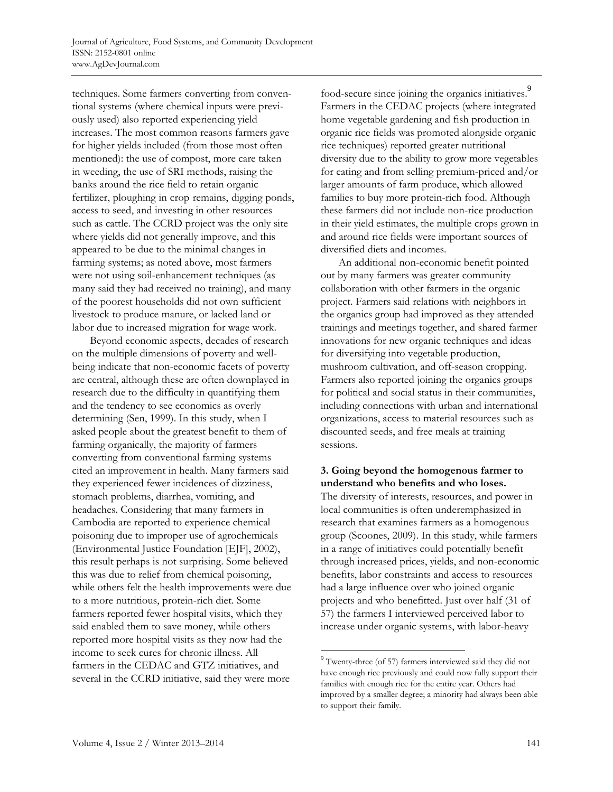techniques. Some farmers converting from conventional systems (where chemical inputs were previously used) also reported experiencing yield increases. The most common reasons farmers gave for higher yields included (from those most often mentioned): the use of compost, more care taken in weeding, the use of SRI methods, raising the banks around the rice field to retain organic fertilizer, ploughing in crop remains, digging ponds, access to seed, and investing in other resources such as cattle. The CCRD project was the only site where yields did not generally improve, and this appeared to be due to the minimal changes in farming systems; as noted above, most farmers were not using soil-enhancement techniques (as many said they had received no training), and many of the poorest households did not own sufficient livestock to produce manure, or lacked land or labor due to increased migration for wage work.

 Beyond economic aspects, decades of research on the multiple dimensions of poverty and wellbeing indicate that non-economic facets of poverty are central, although these are often downplayed in research due to the difficulty in quantifying them and the tendency to see economics as overly determining (Sen, 1999). In this study, when I asked people about the greatest benefit to them of farming organically, the majority of farmers converting from conventional farming systems cited an improvement in health. Many farmers said they experienced fewer incidences of dizziness, stomach problems, diarrhea, vomiting, and headaches. Considering that many farmers in Cambodia are reported to experience chemical poisoning due to improper use of agrochemicals (Environmental Justice Foundation [EJF], 2002), this result perhaps is not surprising. Some believed this was due to relief from chemical poisoning, while others felt the health improvements were due to a more nutritious, protein-rich diet. Some farmers reported fewer hospital visits, which they said enabled them to save money, while others reported more hospital visits as they now had the income to seek cures for chronic illness. All farmers in the CEDAC and GTZ initiatives, and several in the CCRD initiative, said they were more

food-secure since joining the organics initiatives.<sup>9</sup> Farmers in the CEDAC projects (where integrated home vegetable gardening and fish production in organic rice fields was promoted alongside organic rice techniques) reported greater nutritional diversity due to the ability to grow more vegetables for eating and from selling premium-priced and/or larger amounts of farm produce, which allowed families to buy more protein-rich food. Although these farmers did not include non-rice production in their yield estimates, the multiple crops grown in and around rice fields were important sources of diversified diets and incomes.

 An additional non-economic benefit pointed out by many farmers was greater community collaboration with other farmers in the organic project. Farmers said relations with neighbors in the organics group had improved as they attended trainings and meetings together, and shared farmer innovations for new organic techniques and ideas for diversifying into vegetable production, mushroom cultivation, and off-season cropping. Farmers also reported joining the organics groups for political and social status in their communities, including connections with urban and international organizations, access to material resources such as discounted seeds, and free meals at training sessions.

# **3. Going beyond the homogenous farmer to understand who benefits and who loses.**

The diversity of interests, resources, and power in local communities is often underemphasized in research that examines farmers as a homogenous group (Scoones, 2009). In this study, while farmers in a range of initiatives could potentially benefit through increased prices, yields, and non-economic benefits, labor constraints and access to resources had a large influence over who joined organic projects and who benefitted. Just over half (31 of 57) the farmers I interviewed perceived labor to increase under organic systems, with labor-heavy

<sup>&</sup>lt;sup>9</sup> Twenty-three (of 57) farmers interviewed said they did not have enough rice previously and could now fully support their families with enough rice for the entire year. Others had improved by a smaller degree; a minority had always been able to support their family.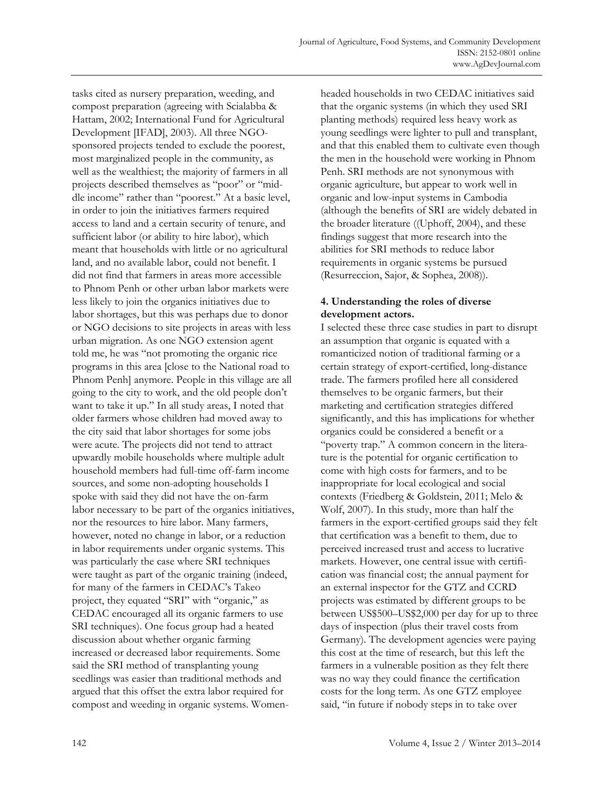tasks cited as nursery preparation, weeding, and compost preparation (agreeing with Scialabba & Hattam, 2002; International Fund for Agricultural Development [IFAD], 2003). All three NGOsponsored projects tended to exclude the poorest, most marginalized people in the community, as well as the wealthiest; the majority of farmers in all projects described themselves as "poor" or "middle income" rather than "poorest." At a basic level, in order to join the initiatives farmers required access to land and a certain security of tenure, and sufficient labor (or ability to hire labor), which meant that households with little or no agricultural land, and no available labor, could not benefit. I did not find that farmers in areas more accessible to Phnom Penh or other urban labor markets were less likely to join the organics initiatives due to labor shortages, but this was perhaps due to donor or NGO decisions to site projects in areas with less urban migration. As one NGO extension agent told me, he was "not promoting the organic rice programs in this area [close to the National road to Phnom Penh] anymore. People in this village are all going to the city to work, and the old people don't want to take it up." In all study areas, I noted that older farmers whose children had moved away to the city said that labor shortages for some jobs were acute. The projects did not tend to attract upwardly mobile households where multiple adult household members had full-time off-farm income sources, and some non-adopting households I spoke with said they did not have the on-farm labor necessary to be part of the organics initiatives, nor the resources to hire labor. Many farmers, however, noted no change in labor, or a reduction in labor requirements under organic systems. This was particularly the case where SRI techniques were taught as part of the organic training (indeed, for many of the farmers in CEDAC's Takeo project, they equated "SRI" with "organic," as CEDAC encouraged all its organic farmers to use SRI techniques). One focus group had a heated discussion about whether organic farming increased or decreased labor requirements. Some said the SRI method of transplanting young seedlings was easier than traditional methods and argued that this offset the extra labor required for compost and weeding in organic systems. Womenheaded households in two CEDAC initiatives said that the organic systems (in which they used SRI planting methods) required less heavy work as young seedlings were lighter to pull and transplant, and that this enabled them to cultivate even though the men in the household were working in Phnom Penh. SRI methods are not synonymous with organic agriculture, but appear to work well in organic and low-input systems in Cambodia (although the benefits of SRI are widely debated in the broader literature ((Uphoff, 2004), and these findings suggest that more research into the abilities for SRI methods to reduce labor requirements in organic systems be pursued (Resurreccion, Sajor, & Sophea, 2008)).

# **4. Understanding the roles of diverse development actors.**

I selected these three case studies in part to disrupt an assumption that organic is equated with a romanticized notion of traditional farming or a certain strategy of export-certified, long-distance trade. The farmers profiled here all considered themselves to be organic farmers, but their marketing and certification strategies differed significantly, and this has implications for whether organics could be considered a benefit or a "poverty trap." A common concern in the literature is the potential for organic certification to come with high costs for farmers, and to be inappropriate for local ecological and social contexts (Friedberg & Goldstein, 2011; Melo & Wolf, 2007). In this study, more than half the farmers in the export-certified groups said they felt that certification was a benefit to them, due to perceived increased trust and access to lucrative markets. However, one central issue with certification was financial cost; the annual payment for an external inspector for the GTZ and CCRD projects was estimated by different groups to be between US\$500–US\$2,000 per day for up to three days of inspection (plus their travel costs from Germany). The development agencies were paying this cost at the time of research, but this left the farmers in a vulnerable position as they felt there was no way they could finance the certification costs for the long term. As one GTZ employee said, "in future if nobody steps in to take over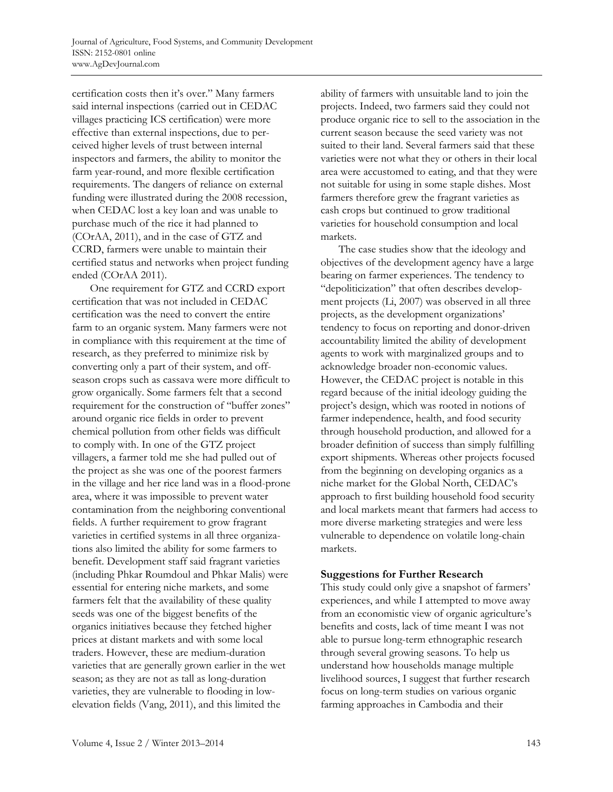certification costs then it's over." Many farmers said internal inspections (carried out in CEDAC villages practicing ICS certification) were more effective than external inspections, due to perceived higher levels of trust between internal inspectors and farmers, the ability to monitor the farm year-round, and more flexible certification requirements. The dangers of reliance on external funding were illustrated during the 2008 recession, when CEDAC lost a key loan and was unable to purchase much of the rice it had planned to (COrAA, 2011), and in the case of GTZ and CCRD, farmers were unable to maintain their certified status and networks when project funding ended (COrAA 2011).

 One requirement for GTZ and CCRD export certification that was not included in CEDAC certification was the need to convert the entire farm to an organic system. Many farmers were not in compliance with this requirement at the time of research, as they preferred to minimize risk by converting only a part of their system, and offseason crops such as cassava were more difficult to grow organically. Some farmers felt that a second requirement for the construction of "buffer zones" around organic rice fields in order to prevent chemical pollution from other fields was difficult to comply with. In one of the GTZ project villagers, a farmer told me she had pulled out of the project as she was one of the poorest farmers in the village and her rice land was in a flood-prone area, where it was impossible to prevent water contamination from the neighboring conventional fields. A further requirement to grow fragrant varieties in certified systems in all three organizations also limited the ability for some farmers to benefit. Development staff said fragrant varieties (including Phkar Roumdoul and Phkar Malis) were essential for entering niche markets, and some farmers felt that the availability of these quality seeds was one of the biggest benefits of the organics initiatives because they fetched higher prices at distant markets and with some local traders. However, these are medium-duration varieties that are generally grown earlier in the wet season; as they are not as tall as long-duration varieties, they are vulnerable to flooding in lowelevation fields (Vang, 2011), and this limited the

ability of farmers with unsuitable land to join the projects. Indeed, two farmers said they could not produce organic rice to sell to the association in the current season because the seed variety was not suited to their land. Several farmers said that these varieties were not what they or others in their local area were accustomed to eating, and that they were not suitable for using in some staple dishes. Most farmers therefore grew the fragrant varieties as cash crops but continued to grow traditional varieties for household consumption and local markets.

 The case studies show that the ideology and objectives of the development agency have a large bearing on farmer experiences. The tendency to "depoliticization" that often describes development projects (Li, 2007) was observed in all three projects, as the development organizations' tendency to focus on reporting and donor-driven accountability limited the ability of development agents to work with marginalized groups and to acknowledge broader non-economic values. However, the CEDAC project is notable in this regard because of the initial ideology guiding the project's design, which was rooted in notions of farmer independence, health, and food security through household production, and allowed for a broader definition of success than simply fulfilling export shipments. Whereas other projects focused from the beginning on developing organics as a niche market for the Global North, CEDAC's approach to first building household food security and local markets meant that farmers had access to more diverse marketing strategies and were less vulnerable to dependence on volatile long-chain markets.

#### **Suggestions for Further Research**

This study could only give a snapshot of farmers' experiences, and while I attempted to move away from an economistic view of organic agriculture's benefits and costs, lack of time meant I was not able to pursue long-term ethnographic research through several growing seasons. To help us understand how households manage multiple livelihood sources, I suggest that further research focus on long-term studies on various organic farming approaches in Cambodia and their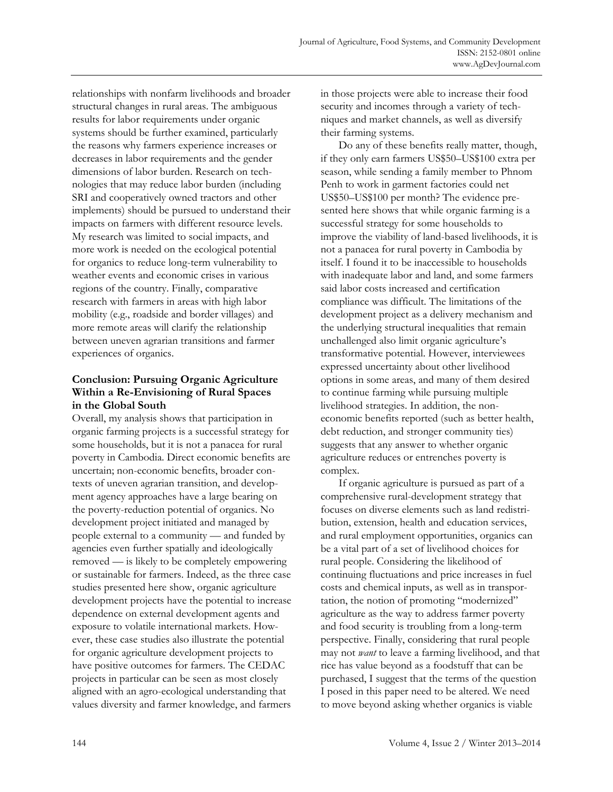relationships with nonfarm livelihoods and broader structural changes in rural areas. The ambiguous results for labor requirements under organic systems should be further examined, particularly the reasons why farmers experience increases or decreases in labor requirements and the gender dimensions of labor burden. Research on technologies that may reduce labor burden (including SRI and cooperatively owned tractors and other implements) should be pursued to understand their impacts on farmers with different resource levels. My research was limited to social impacts, and more work is needed on the ecological potential for organics to reduce long-term vulnerability to weather events and economic crises in various regions of the country. Finally, comparative research with farmers in areas with high labor mobility (e.g., roadside and border villages) and more remote areas will clarify the relationship between uneven agrarian transitions and farmer experiences of organics.

# **Conclusion: Pursuing Organic Agriculture Within a Re-Envisioning of Rural Spaces in the Global South**

Overall, my analysis shows that participation in organic farming projects is a successful strategy for some households, but it is not a panacea for rural poverty in Cambodia. Direct economic benefits are uncertain; non-economic benefits, broader contexts of uneven agrarian transition, and development agency approaches have a large bearing on the poverty-reduction potential of organics. No development project initiated and managed by people external to a community — and funded by agencies even further spatially and ideologically removed — is likely to be completely empowering or sustainable for farmers. Indeed, as the three case studies presented here show, organic agriculture development projects have the potential to increase dependence on external development agents and exposure to volatile international markets. However, these case studies also illustrate the potential for organic agriculture development projects to have positive outcomes for farmers. The CEDAC projects in particular can be seen as most closely aligned with an agro-ecological understanding that values diversity and farmer knowledge, and farmers

in those projects were able to increase their food security and incomes through a variety of techniques and market channels, as well as diversify their farming systems.

 Do any of these benefits really matter, though, if they only earn farmers US\$50–US\$100 extra per season, while sending a family member to Phnom Penh to work in garment factories could net US\$50–US\$100 per month? The evidence presented here shows that while organic farming is a successful strategy for some households to improve the viability of land-based livelihoods, it is not a panacea for rural poverty in Cambodia by itself. I found it to be inaccessible to households with inadequate labor and land, and some farmers said labor costs increased and certification compliance was difficult. The limitations of the development project as a delivery mechanism and the underlying structural inequalities that remain unchallenged also limit organic agriculture's transformative potential. However, interviewees expressed uncertainty about other livelihood options in some areas, and many of them desired to continue farming while pursuing multiple livelihood strategies. In addition, the noneconomic benefits reported (such as better health, debt reduction, and stronger community ties) suggests that any answer to whether organic agriculture reduces or entrenches poverty is complex.

 If organic agriculture is pursued as part of a comprehensive rural-development strategy that focuses on diverse elements such as land redistribution, extension, health and education services, and rural employment opportunities, organics can be a vital part of a set of livelihood choices for rural people. Considering the likelihood of continuing fluctuations and price increases in fuel costs and chemical inputs, as well as in transportation, the notion of promoting "modernized" agriculture as the way to address farmer poverty and food security is troubling from a long-term perspective. Finally, considering that rural people may not *want* to leave a farming livelihood, and that rice has value beyond as a foodstuff that can be purchased, I suggest that the terms of the question I posed in this paper need to be altered. We need to move beyond asking whether organics is viable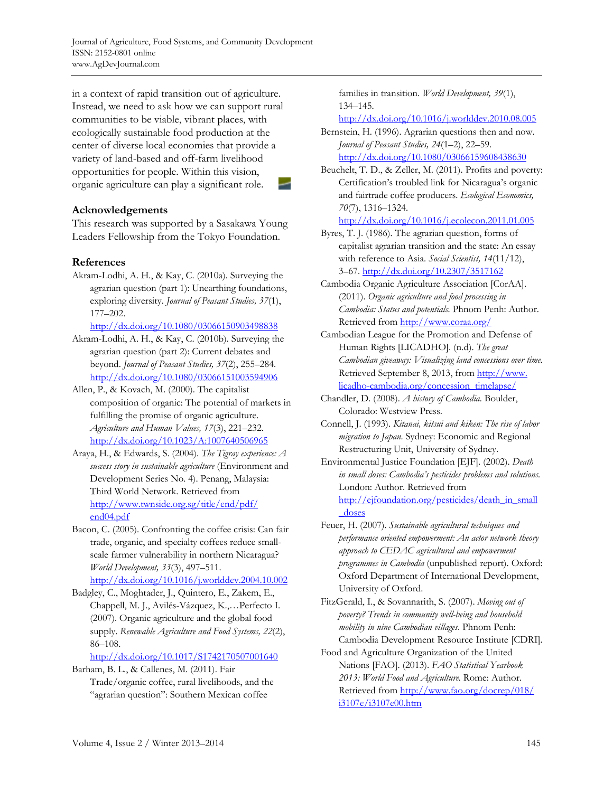Journal of Agriculture, Food Systems, and Community Development ISSN: 2152-0801 online www.AgDevJournal.com

in a context of rapid transition out of agriculture. Instead, we need to ask how we can support rural communities to be viable, vibrant places, with ecologically sustainable food production at the center of diverse local economies that provide a variety of land-based and off-farm livelihood opportunities for people. Within this vision, organic agriculture can play a significant role.

### **Acknowledgements**

This research was supported by a Sasakawa Young Leaders Fellowship from the Tokyo Foundation.

### **References**

Akram-Lodhi, A. H., & Kay, C. (2010a). Surveying the agrarian question (part 1): Unearthing foundations, exploring diversity. *Journal of Peasant Studies, 37*(1), 177–202.

http://dx.doi.org/10.1080/03066150903498838

- Akram-Lodhi, A. H., & Kay, C. (2010b). Surveying the agrarian question (part 2): Current debates and beyond. *Journal of Peasant Studies, 37*(2), 255–284. http://dx.doi.org/10.1080/03066151003594906
- Allen, P., & Kovach, M. (2000). The capitalist composition of organic: The potential of markets in fulfilling the promise of organic agriculture. *Agriculture and Human Values, 17*(3), 221–232. http://dx.doi.org/10.1023/A:1007640506965
- Araya, H., & Edwards, S. (2004). *The Tigray experience: A success story in sustainable agriculture* (Environment and Development Series No. 4). Penang, Malaysia: Third World Network. Retrieved from [http://www.twnside.org.sg/title/end/pdf/](http://www.twnside.org.sg/title/end/pdf/end04.pdf)  end04.pdf
- Bacon, C. (2005). Confronting the coffee crisis: Can fair trade, organic, and specialty coffees reduce smallscale farmer vulnerability in northern Nicaragua? *World Development, 33*(3), 497–511. http://dx.doi.org/10.1016/j.worlddev.2004.10.002
- Badgley, C., Moghtader, J., Quintero, E., Zakem, E., Chappell, M. J., Avilés-Vázquez, K.,…Perfecto I. (2007). Organic agriculture and the global food supply. *Renewable Agriculture and Food Systems, 22*(2), 86–108.

http://dx.doi.org/10.1017/S1742170507001640

Barham, B. L., & Callenes, M. (2011). Fair Trade/organic coffee, rural livelihoods, and the "agrarian question": Southern Mexican coffee

families in transition. *World Development, 39*(1), 134–145.

http://dx.doi.org/10.1016/j.worlddev.2010.08.005

- Bernstein, H. (1996). Agrarian questions then and now. *Journal of Peasant Studies, 24*(1–2), 22–59. http://dx.doi.org/10.1080/03066159608438630
- Beuchelt, T. D., & Zeller, M. (2011). Profits and poverty: Certification's troubled link for Nicaragua's organic and fairtrade coffee producers. *Ecological Economics, 70*(7), 1316–1324.

http://dx.doi.org/10.1016/j.ecolecon.2011.01.005

- Byres, T. J. (1986). The agrarian question, forms of capitalist agrarian transition and the state: An essay with reference to Asia. *Social Scientist, 14*(11/12), 3–67. http://dx.doi.org/10.2307/3517162
- Cambodia Organic Agriculture Association [CorAA]. (2011). *Organic agriculture and food processing in Cambodia: Status and potentials.* Phnom Penh: Author. Retrieved from http://www.coraa.org/
- Cambodian League for the Promotion and Defense of Human Rights [LICADHO]. (n.d). *The great Cambodian giveaway: Visualizing land concessions over time.* [Retrieved September 8, 2013, from http://www.](http://www.licadho-cambodia.org/concession_timelapse/)  licadho-cambodia.org/concession\_timelapse/
- Chandler, D. (2008). *A history of Cambodia*. Boulder, Colorado: Westview Press.
- Connell, J. (1993). *Kitanai, kitsui and kiken: The rise of labor migration to Japan*. Sydney: Economic and Regional Restructuring Unit, University of Sydney.
- Environmental Justice Foundation [EJF]. (2002). *Death in small doses: Cambodia's pesticides problems and solutions.* London: Author. Retrieved from [http://ejfoundation.org/pesticides/death\\_in\\_small](http://ejfoundation.org/pesticides/death_in_small_doses) \_doses
- Feuer, H. (2007). *Sustainable agricultural techniques and performance oriented empowerment: An actor network theory approach to CEDAC agricultural and empowerment programmes in Cambodia* (unpublished report). Oxford: Oxford Department of International Development, University of Oxford.
- FitzGerald, I., & Sovannarith, S. (2007). *Moving out of poverty? Trends in community well-being and household mobility in nine Cambodian villages*. Phnom Penh: Cambodia Development Resource Institute [CDRI].
- Food and Agriculture Organization of the United Nations [FAO]. (2013). *FAO Statistical Yearbook 2013: World Food and Agriculture*. Rome: Author. [Retrieved from http://www.fao.org/docrep/018/](http://www.fao.org/docrep/018/i3107e/i3107e00.htm)  i3107e/i3107e00.htm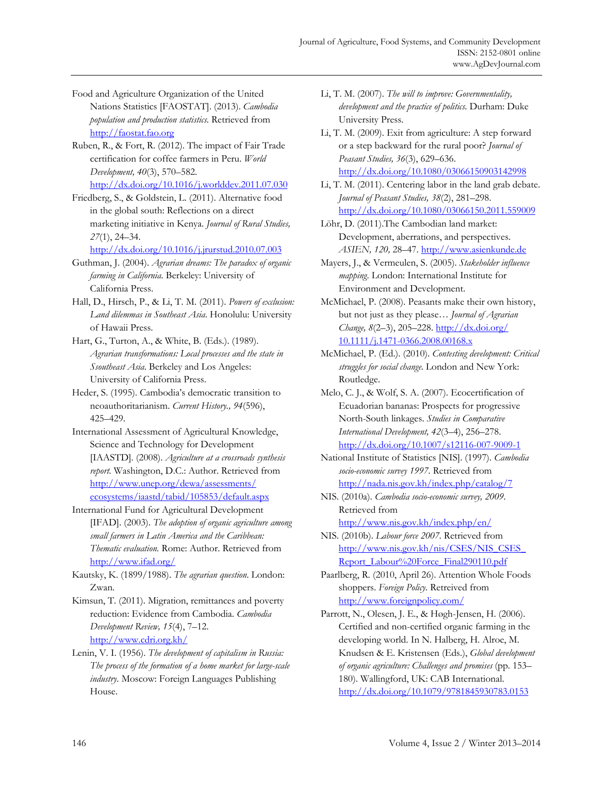- Food and Agriculture Organization of the United Nations Statistics [FAOSTAT]. (2013). *Cambodia population and production statistics*. Retrieved from http://faostat.fao.org
- Ruben, R., & Fort, R. (2012). The impact of Fair Trade certification for coffee farmers in Peru. *World Development, 40*(3), 570–582. http://dx.doi.org/10.1016/j.worlddev.2011.07.030
- Friedberg, S., & Goldstein, L. (2011). Alternative food in the global south: Reflections on a direct marketing initiative in Kenya. *Journal of Rural Studies, 27*(1), 24–34.

http://dx.doi.org/10.1016/j.jrurstud.2010.07.003

- Guthman, J. (2004). *Agrarian dreams: The paradox of organic farming in California*. Berkeley: University of California Press.
- Hall, D., Hirsch, P., & Li, T. M. (2011). *Powers of exclusion: Land dilemmas in Southeast Asia*. Honolulu: University of Hawaii Press.
- Hart, G., Turton, A., & White, B. (Eds.). (1989). *Agrarian transformations: Local processes and the state in Ssoutheast Asia*. Berkeley and Los Angeles: University of California Press.
- Heder, S. (1995). Cambodia's democratic transition to neoauthoritarianism. *Current History., 94*(596), 425–429.
- International Assessment of Agricultural Knowledge, Science and Technology for Development [IAASTD]. (2008). *Agriculture at a crossroads synthesis report.* Washington, D.C.: Author. Retrieved from http://www.unep.org/dewa/assessments/ [ecosystems/iaastd/tabid/105853/default.aspx](http://www.unep.org/dewa/assessments/ecosystems/iaastd/tabid/105853/default.aspx)
- International Fund for Agricultural Development [IFAD]. (2003). *The adoption of organic agriculture among small farmers in Latin America and the Caribbean: Thematic evaluation.* Rome: Author. Retrieved from http://www.ifad.org/
- Kautsky, K. (1899/1988). *The agrarian question*. London: Zwan.
- Kimsun, T. (2011). Migration, remittances and poverty reduction: Evidence from Cambodia. *Cambodia Development Review, 15*(4), 7–12. http://www.cdri.org.kh/
- Lenin, V. I. (1956). *The development of capitalism in Russia: The process of the formation of a home market for large-scale industry.* Moscow: Foreign Languages Publishing House.
- Li, T. M. (2007). *The will to improve: Governmentality, development and the practice of politics*. Durham: Duke University Press.
- Li, T. M. (2009). Exit from agriculture: A step forward or a step backward for the rural poor? *Journal of Peasant Studies, 36*(3), 629–636. http://dx.doi.org/10.1080/03066150903142998
- Li, T. M. (2011). Centering labor in the land grab debate. *Journal of Peasant Studies, 38*(2), 281–298. http://dx.doi.org/10.1080/03066150.2011.559009
- Löhr, D. (2011).The Cambodian land market: Development, aberrations, and perspectives. *ASIEN, 120,* 28–47. http://www.asienkunde.de
- Mayers, J., & Vermeulen, S. (2005). *Stakeholder influence mapping*. London: International Institute for Environment and Development.
- McMichael, P. (2008). Peasants make their own history, but not just as they please… *Journal of Agrarian Change, 8*(2–3), 205–228. http://dx.doi.org/ [10.1111/j.1471-0366.2008.00168.x](http://dx.doi.org/10.1111/j.1471-0366.2008.00168.x)
- McMichael, P. (Ed.). (2010). *Contesting development: Critical struggles for social change*. London and New York: Routledge.
- Melo, C. J., & Wolf, S. A. (2007). Ecocertification of Ecuadorian bananas: Prospects for progressive North-South linkages. *Studies in Comparative International Development, 42*(3–4), 256–278. http://dx.doi.org/10.1007/s12116-007-9009-1
- National Institute of Statistics [NIS]. (1997). *Cambodia socio-economic survey 1997*. Retrieved from http://nada.nis.gov.kh/index.php/catalog/7
- NIS. (2010a). *Cambodia socio-economic survey, 2009*. Retrieved from http://www.nis.gov.kh/index.php/en/
- NIS. (2010b). *Labour force 2007.* Retrieved from [http://www.nis.gov.kh/nis/CSES/NIS\\_CSES\\_](http://www.nis.gov.kh/nis/CSES/NIS_CSES_Report_Labour%20Force_Final290110.pdf) Report\_Labour%20Force\_Final290110.pdf
- Paarlberg, R. (2010, April 26). Attention Whole Foods shoppers. *Foreign Policy.* Retreived from http://www.foreignpolicy.com/
- Parrott, N., Olesen, J. E., & Høgh-Jensen, H. (2006). Certified and non-certified organic farming in the developing world. In N. Halberg, H. Alroe, M. Knudsen & E. Kristensen (Eds.), *Global development of organic agriculture: Challenges and promises* (pp. 153– 180). Wallingford, UK: CAB International. http://dx.doi.org/10.1079/9781845930783.0153